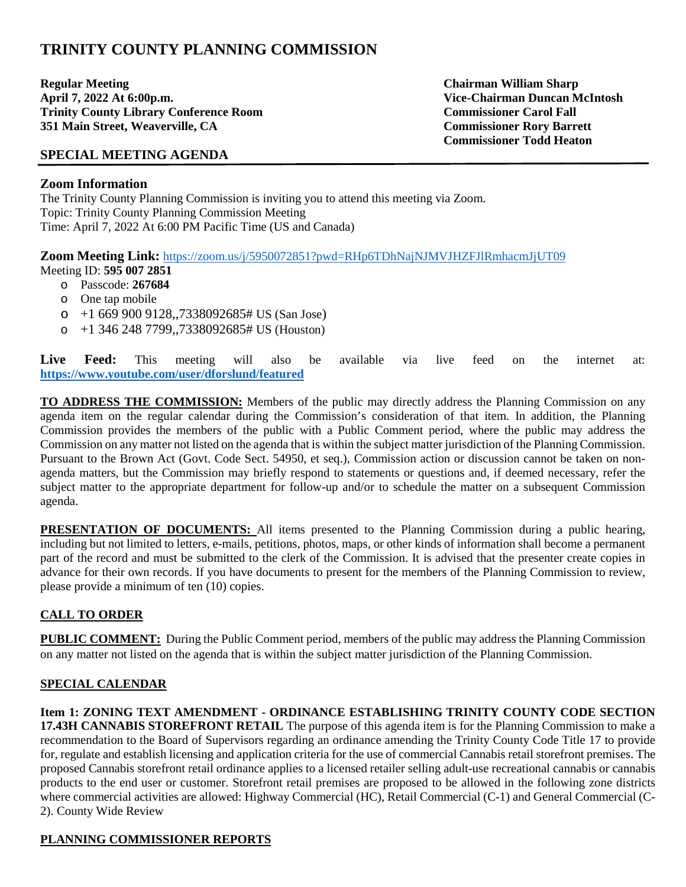# **TRINITY COUNTY PLANNING COMMISSION**

**Regular Meeting Chairman William Sharp**  April 7, 2022 At 6:00p.m.<br> **April 7, 2022 At 6:00p.m.**<br> **April 7, 2022 At 6:00p.m.**<br> **Commissioner Carol Fall Trinity County Library Conference Room 351 Main Street, Weaverville, CA Commissioner Rory Barrett** 

**Commissioner Todd Heaton** 

## **SPECIAL MEETING AGENDA**

#### **Zoom Information**

The Trinity County Planning Commission is inviting you to attend this meeting via Zoom. Topic: Trinity County Planning Commission Meeting Time: April 7, 2022 At 6:00 PM Pacific Time (US and Canada)

**Zoom Meeting Link:** <https://zoom.us/j/5950072851?pwd=RHp6TDhNajNJMVJHZFJlRmhacmJjUT09>

- Meeting ID: **595 007 2851**
	- o Passcode: **267684**
	- o One tap mobile
	- $\circ$  +1 669 900 9128,,7338092685# US (San Jose)
	- $\circ$  +1 346 248 7799,,7338092685# US (Houston)

Live Feed: This meeting will also be available via live feed on the internet at: **<https://www.youtube.com/user/dforslund/featured>**

**TO ADDRESS THE COMMISSION:** Members of the public may directly address the Planning Commission on any agenda item on the regular calendar during the Commission's consideration of that item. In addition, the Planning Commission provides the members of the public with a Public Comment period, where the public may address the Commission on any matter not listed on the agenda that is within the subject matter jurisdiction of the Planning Commission. Pursuant to the Brown Act (Govt. Code Sect. 54950, et seq.), Commission action or discussion cannot be taken on nonagenda matters, but the Commission may briefly respond to statements or questions and, if deemed necessary, refer the subject matter to the appropriate department for follow-up and/or to schedule the matter on a subsequent Commission agenda.

**PRESENTATION OF DOCUMENTS:** All items presented to the Planning Commission during a public hearing, including but not limited to letters, e-mails, petitions, photos, maps, or other kinds of information shall become a permanent part of the record and must be submitted to the clerk of the Commission. It is advised that the presenter create copies in advance for their own records. If you have documents to present for the members of the Planning Commission to review, please provide a minimum of ten (10) copies.

## **CALL TO ORDER**

**PUBLIC COMMENT:** During the Public Comment period, members of the public may address the Planning Commission on any matter not listed on the agenda that is within the subject matter jurisdiction of the Planning Commission.

## **SPECIAL CALENDAR**

**Item 1: ZONING TEXT AMENDMENT - ORDINANCE ESTABLISHING TRINITY COUNTY CODE SECTION 17.43H CANNABIS STOREFRONT RETAIL** The purpose of this agenda item is for the Planning Commission to make a recommendation to the Board of Supervisors regarding an ordinance amending the Trinity County Code Title 17 to provide for, regulate and establish licensing and application criteria for the use of commercial Cannabis retail storefront premises. The proposed Cannabis storefront retail ordinance applies to a licensed retailer selling adult-use recreational cannabis or cannabis products to the end user or customer. Storefront retail premises are proposed to be allowed in the following zone districts where commercial activities are allowed: Highway Commercial (HC), Retail Commercial (C-1) and General Commercial (C-2). County Wide Review

#### **PLANNING COMMISSIONER REPORTS**